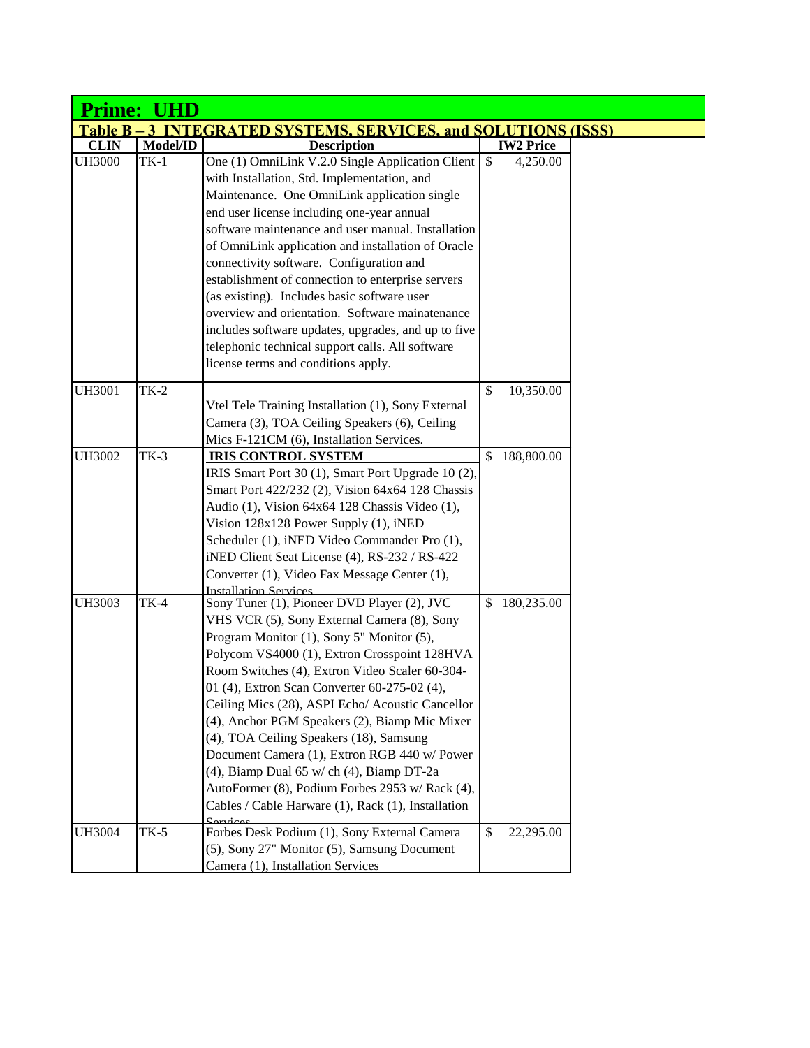|                    | Prime: UHD |                                                                                                                                                                                                                                                                                                                                                                                                                                                                                                                                                                                                                                                                |              |                  |  |
|--------------------|------------|----------------------------------------------------------------------------------------------------------------------------------------------------------------------------------------------------------------------------------------------------------------------------------------------------------------------------------------------------------------------------------------------------------------------------------------------------------------------------------------------------------------------------------------------------------------------------------------------------------------------------------------------------------------|--------------|------------------|--|
| <b>Table B – 3</b> |            | <b>INTEGRATED SYSTEMS, SERVICES, and SOLUTIONS (ISSS)</b>                                                                                                                                                                                                                                                                                                                                                                                                                                                                                                                                                                                                      |              |                  |  |
| <b>CLIN</b>        | Model/ID   | <b>Description</b>                                                                                                                                                                                                                                                                                                                                                                                                                                                                                                                                                                                                                                             |              | <b>IW2 Price</b> |  |
| <b>UH3000</b>      | $TK-1$     | One (1) OmniLink V.2.0 Single Application Client<br>with Installation, Std. Implementation, and<br>Maintenance. One OmniLink application single<br>end user license including one-year annual<br>software maintenance and user manual. Installation<br>of OmniLink application and installation of Oracle<br>connectivity software. Configuration and<br>establishment of connection to enterprise servers<br>(as existing). Includes basic software user<br>overview and orientation. Software mainatenance<br>includes software updates, upgrades, and up to five<br>telephonic technical support calls. All software<br>license terms and conditions apply. | $\mathbb{S}$ | 4,250.00         |  |
| <b>UH3001</b>      | $TK-2$     | Vtel Tele Training Installation (1), Sony External<br>Camera (3), TOA Ceiling Speakers (6), Ceiling<br>Mics F-121CM (6), Installation Services.                                                                                                                                                                                                                                                                                                                                                                                                                                                                                                                | \$           | 10,350.00        |  |
| <b>UH3002</b>      | $TK-3$     | <b>IRIS CONTROL SYSTEM</b><br>IRIS Smart Port 30 (1), Smart Port Upgrade 10 (2),<br>Smart Port 422/232 (2), Vision 64x64 128 Chassis<br>Audio (1), Vision 64x64 128 Chassis Video (1),<br>Vision 128x128 Power Supply (1), iNED<br>Scheduler (1), iNED Video Commander Pro (1),<br>iNED Client Seat License (4), RS-232 / RS-422<br>Converter (1), Video Fax Message Center (1),<br><b>Installation Services</b>                                                                                                                                                                                                                                               |              | \$188,800.00     |  |
| <b>UH3003</b>      | $TK-4$     | Sony Tuner (1), Pioneer DVD Player (2), JVC<br>VHS VCR (5), Sony External Camera (8), Sony<br>Program Monitor (1), Sony 5" Monitor (5),<br>Polycom VS4000 (1), Extron Crosspoint 128HVA<br>Room Switches (4), Extron Video Scaler 60-304-<br>01 (4), Extron Scan Converter 60-275-02 (4),<br>Ceiling Mics (28), ASPI Echo/ Acoustic Cancellor<br>(4), Anchor PGM Speakers (2), Biamp Mic Mixer<br>(4), TOA Ceiling Speakers (18), Samsung<br>Document Camera (1), Extron RGB 440 w/ Power<br>(4), Biamp Dual 65 w/ch (4), Biamp DT-2a<br>AutoFormer (8), Podium Forbes 2953 w/ Rack (4),<br>Cables / Cable Harware (1), Rack (1), Installation<br>Carvicac     | \$           | 180,235.00       |  |
| <b>UH3004</b>      | $TK-5$     | Forbes Desk Podium (1), Sony External Camera<br>(5), Sony 27" Monitor (5), Samsung Document<br>Camera (1), Installation Services                                                                                                                                                                                                                                                                                                                                                                                                                                                                                                                               | \$           | 22,295.00        |  |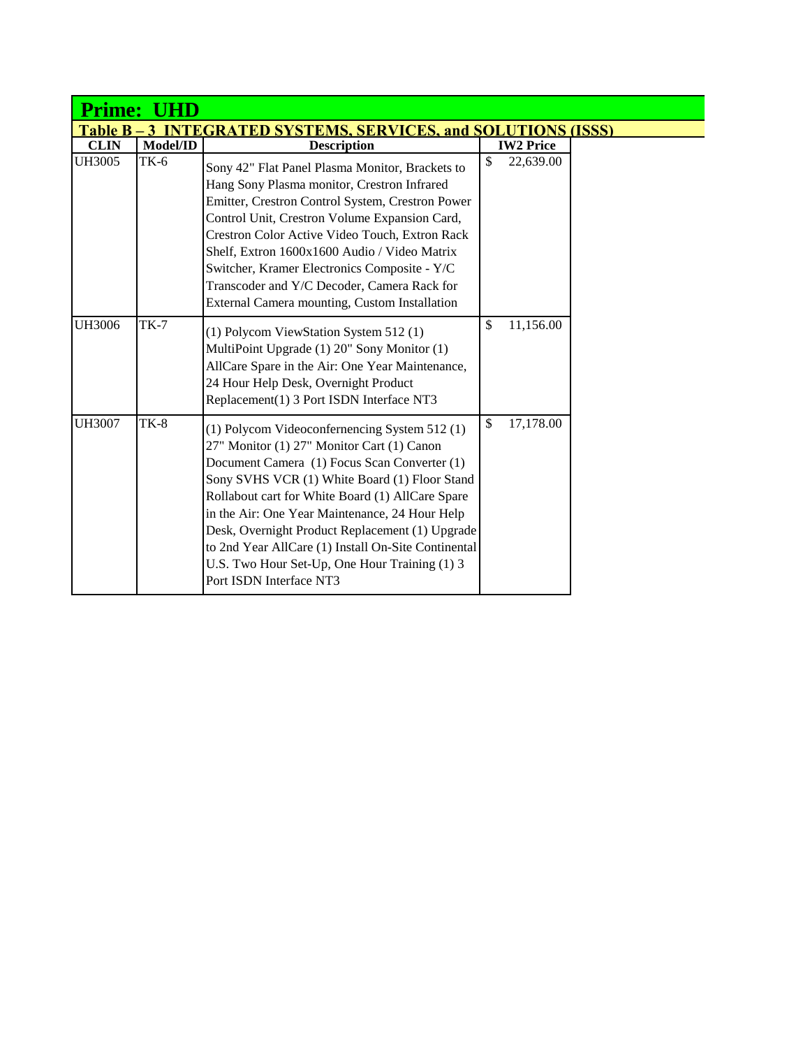| <b>Prime:</b><br>UHD                                                              |          |                                                                                                                                                                                                                                                                                                                                                                                                                                                                                         |                            |  |  |  |
|-----------------------------------------------------------------------------------|----------|-----------------------------------------------------------------------------------------------------------------------------------------------------------------------------------------------------------------------------------------------------------------------------------------------------------------------------------------------------------------------------------------------------------------------------------------------------------------------------------------|----------------------------|--|--|--|
| <b>TEGRATED SYSTEMS, SERVICES, and SOLUTIONS (ISSS)</b><br><b>Table B</b><br>$-3$ |          |                                                                                                                                                                                                                                                                                                                                                                                                                                                                                         |                            |  |  |  |
| <b>CLIN</b>                                                                       | Model/ID | <b>Description</b>                                                                                                                                                                                                                                                                                                                                                                                                                                                                      | <b>IW2 Price</b>           |  |  |  |
| <b>UH3005</b>                                                                     | TK-6     | Sony 42" Flat Panel Plasma Monitor, Brackets to<br>Hang Sony Plasma monitor, Crestron Infrared<br>Emitter, Crestron Control System, Crestron Power<br>Control Unit, Crestron Volume Expansion Card,<br>Crestron Color Active Video Touch, Extron Rack<br>Shelf, Extron 1600x1600 Audio / Video Matrix<br>Switcher, Kramer Electronics Composite - Y/C<br>Transcoder and Y/C Decoder, Camera Rack for<br>External Camera mounting, Custom Installation                                   | \$<br>22,639.00            |  |  |  |
| <b>UH3006</b>                                                                     | $TK-7$   | (1) Polycom ViewStation System 512 (1)<br>MultiPoint Upgrade (1) 20" Sony Monitor (1)<br>AllCare Spare in the Air: One Year Maintenance,<br>24 Hour Help Desk, Overnight Product<br>Replacement(1) 3 Port ISDN Interface NT3                                                                                                                                                                                                                                                            | $\mathbb{S}$<br>11,156.00  |  |  |  |
| <b>UH3007</b>                                                                     | $TK-8$   | (1) Polycom Videoconfernencing System 512(1)<br>27" Monitor (1) 27" Monitor Cart (1) Canon<br>Document Camera (1) Focus Scan Converter (1)<br>Sony SVHS VCR (1) White Board (1) Floor Stand<br>Rollabout cart for White Board (1) AllCare Spare<br>in the Air: One Year Maintenance, 24 Hour Help<br>Desk, Overnight Product Replacement (1) Upgrade<br>to 2nd Year AllCare (1) Install On-Site Continental<br>U.S. Two Hour Set-Up, One Hour Training (1) 3<br>Port ISDN Interface NT3 | 17,178.00<br>$\mathcal{S}$ |  |  |  |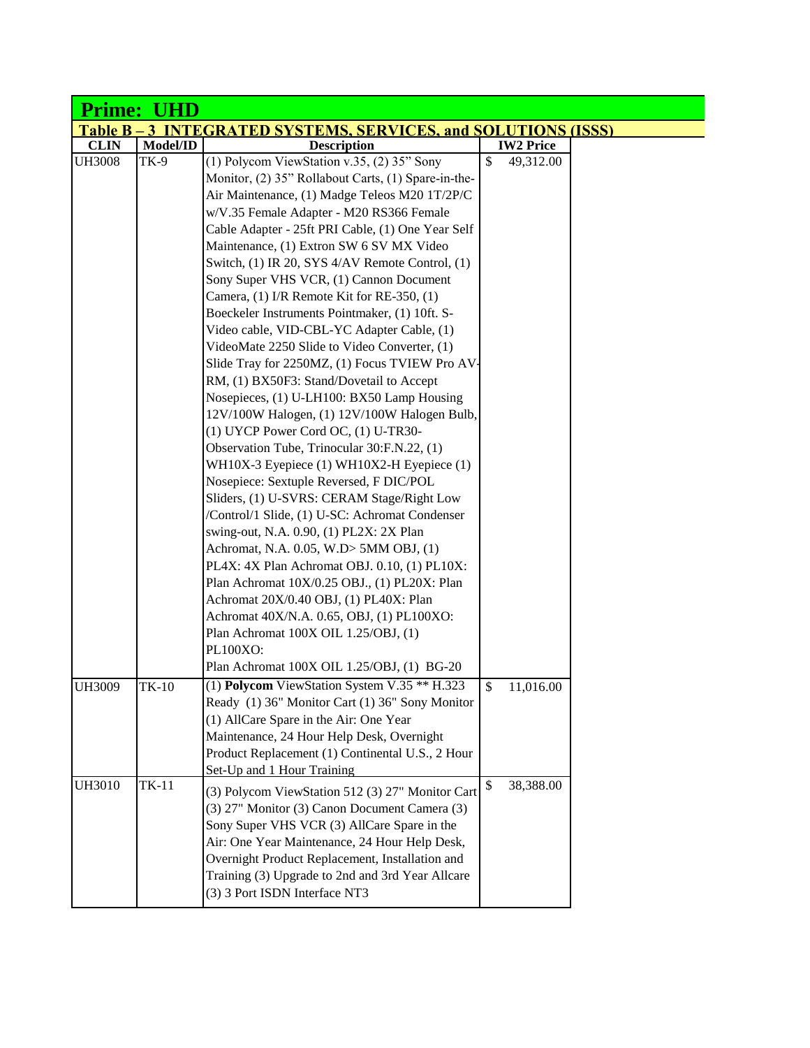|               | <b>Prime: UHD</b> |                                                                                              |              |                  |  |
|---------------|-------------------|----------------------------------------------------------------------------------------------|--------------|------------------|--|
|               |                   | <b>Table B-3 INTEGRATED SYSTEMS, SERVICES, and SOLUTIONS (ISSS)</b>                          |              |                  |  |
| <b>CLIN</b>   | Model/ID          | <b>Description</b>                                                                           |              | <b>IW2 Price</b> |  |
| <b>UH3008</b> | <b>TK-9</b>       | (1) Polycom ViewStation v.35, $(2)$ 35" Sony                                                 | $\mathbb{S}$ | 49,312.00        |  |
|               |                   | Monitor, (2) 35" Rollabout Carts, (1) Spare-in-the-                                          |              |                  |  |
|               |                   | Air Maintenance, (1) Madge Teleos M20 1T/2P/C                                                |              |                  |  |
|               |                   | w/V.35 Female Adapter - M20 RS366 Female                                                     |              |                  |  |
|               |                   | Cable Adapter - 25ft PRI Cable, (1) One Year Self                                            |              |                  |  |
|               |                   | Maintenance, (1) Extron SW 6 SV MX Video                                                     |              |                  |  |
|               |                   | Switch, (1) IR 20, SYS 4/AV Remote Control, (1)                                              |              |                  |  |
|               |                   | Sony Super VHS VCR, (1) Cannon Document                                                      |              |                  |  |
|               |                   | Camera, (1) I/R Remote Kit for RE-350, (1)                                                   |              |                  |  |
|               |                   | Boeckeler Instruments Pointmaker, (1) 10ft. S-                                               |              |                  |  |
|               |                   | Video cable, VID-CBL-YC Adapter Cable, (1)                                                   |              |                  |  |
|               |                   | VideoMate 2250 Slide to Video Converter, (1)                                                 |              |                  |  |
|               |                   | Slide Tray for 2250MZ, (1) Focus TVIEW Pro AV-                                               |              |                  |  |
|               |                   | RM, (1) BX50F3: Stand/Dovetail to Accept                                                     |              |                  |  |
|               |                   | Nosepieces, (1) U-LH100: BX50 Lamp Housing                                                   |              |                  |  |
|               |                   | 12V/100W Halogen, (1) 12V/100W Halogen Bulb,                                                 |              |                  |  |
|               |                   | (1) UYCP Power Cord OC, (1) U-TR30-                                                          |              |                  |  |
|               |                   | Observation Tube, Trinocular 30:F.N.22, (1)                                                  |              |                  |  |
|               |                   | WH10X-3 Eyepiece (1) WH10X2-H Eyepiece (1)                                                   |              |                  |  |
|               |                   | Nosepiece: Sextuple Reversed, F DIC/POL                                                      |              |                  |  |
|               |                   | Sliders, (1) U-SVRS: CERAM Stage/Right Low<br>/Control/1 Slide, (1) U-SC: Achromat Condenser |              |                  |  |
|               |                   |                                                                                              |              |                  |  |
|               |                   | swing-out, N.A. 0.90, (1) PL2X: 2X Plan<br>Achromat, N.A. 0.05, W.D> 5MM OBJ, (1)            |              |                  |  |
|               |                   | PL4X: 4X Plan Achromat OBJ. 0.10, (1) PL10X:                                                 |              |                  |  |
|               |                   | Plan Achromat 10X/0.25 OBJ., (1) PL20X: Plan                                                 |              |                  |  |
|               |                   | Achromat 20X/0.40 OBJ, (1) PL40X: Plan                                                       |              |                  |  |
|               |                   | Achromat 40X/N.A. 0.65, OBJ, (1) PL100XO:                                                    |              |                  |  |
|               |                   | Plan Achromat 100X OIL 1.25/OBJ, (1)                                                         |              |                  |  |
|               |                   | PL100XO:                                                                                     |              |                  |  |
|               |                   | Plan Achromat 100X OIL 1.25/OBJ, (1) BG-20                                                   |              |                  |  |
| <b>UH3009</b> | <b>TK-10</b>      | (1) Polycom ViewStation System V.35 $**$ H.323                                               | \$           | 11,016.00        |  |
|               |                   | Ready (1) 36" Monitor Cart (1) 36" Sony Monitor                                              |              |                  |  |
|               |                   | (1) AllCare Spare in the Air: One Year                                                       |              |                  |  |
|               |                   | Maintenance, 24 Hour Help Desk, Overnight                                                    |              |                  |  |
|               |                   | Product Replacement (1) Continental U.S., 2 Hour                                             |              |                  |  |
|               |                   | Set-Up and 1 Hour Training                                                                   |              |                  |  |
| <b>UH3010</b> | TK-11             | (3) Polycom ViewStation 512 (3) 27" Monitor Cart                                             | \$           | 38,388.00        |  |
|               |                   | (3) 27" Monitor (3) Canon Document Camera (3)                                                |              |                  |  |
|               |                   | Sony Super VHS VCR (3) AllCare Spare in the                                                  |              |                  |  |
|               |                   | Air: One Year Maintenance, 24 Hour Help Desk,                                                |              |                  |  |
|               |                   | Overnight Product Replacement, Installation and                                              |              |                  |  |
|               |                   | Training (3) Upgrade to 2nd and 3rd Year Allcare                                             |              |                  |  |
|               |                   | (3) 3 Port ISDN Interface NT3                                                                |              |                  |  |
|               |                   |                                                                                              |              |                  |  |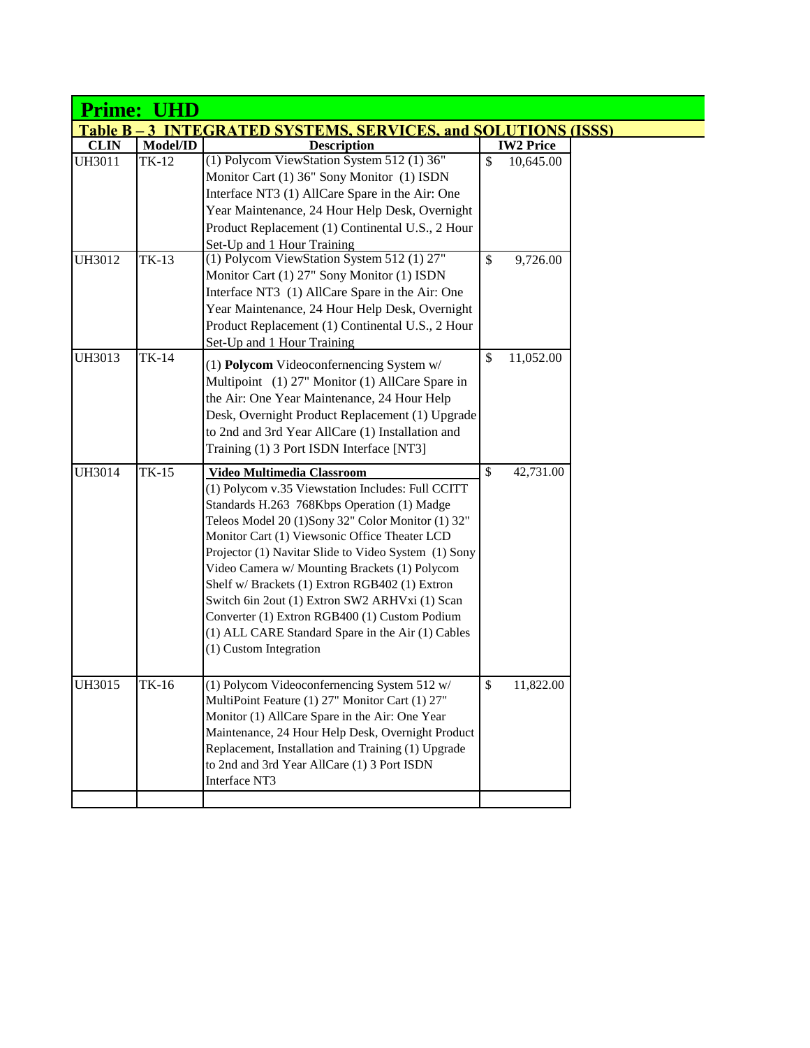| <b>Table B-3 INTEGRATED SYSTEMS, SERVICES, and SOLUTIONS (ISSS)</b> |                                                                                                                                                                                                                                                                                                                                                                                                                                                                                                                                                                                   |                            |                  |  |  |  |
|---------------------------------------------------------------------|-----------------------------------------------------------------------------------------------------------------------------------------------------------------------------------------------------------------------------------------------------------------------------------------------------------------------------------------------------------------------------------------------------------------------------------------------------------------------------------------------------------------------------------------------------------------------------------|----------------------------|------------------|--|--|--|
| Model/ID                                                            | <b>Description</b>                                                                                                                                                                                                                                                                                                                                                                                                                                                                                                                                                                |                            | <b>IW2 Price</b> |  |  |  |
| $TK-12$                                                             | (1) Polycom ViewStation System 512 (1) 36"<br>Monitor Cart (1) 36" Sony Monitor (1) ISDN<br>Interface NT3 (1) AllCare Spare in the Air: One<br>Year Maintenance, 24 Hour Help Desk, Overnight<br>Product Replacement (1) Continental U.S., 2 Hour                                                                                                                                                                                                                                                                                                                                 | \$                         | 10,645.00        |  |  |  |
| TK-13                                                               | (1) Polycom ViewStation System 512 (1) 27"<br>Monitor Cart (1) 27" Sony Monitor (1) ISDN<br>Interface NT3 (1) AllCare Spare in the Air: One<br>Year Maintenance, 24 Hour Help Desk, Overnight<br>Product Replacement (1) Continental U.S., 2 Hour<br>Set-Up and 1 Hour Training                                                                                                                                                                                                                                                                                                   | \$                         | 9,726.00         |  |  |  |
| TK-14                                                               | (1) Polycom Videoconfernencing System w/<br>Multipoint (1) 27" Monitor (1) AllCare Spare in<br>the Air: One Year Maintenance, 24 Hour Help<br>Desk, Overnight Product Replacement (1) Upgrade<br>to 2nd and 3rd Year AllCare (1) Installation and<br>Training (1) 3 Port ISDN Interface [NT3]                                                                                                                                                                                                                                                                                     | \$                         | 11,052.00        |  |  |  |
|                                                                     | Video Multimedia Classroom<br>(1) Polycom v.35 Viewstation Includes: Full CCITT<br>Standards H.263 768Kbps Operation (1) Madge<br>Teleos Model 20 (1)Sony 32" Color Monitor (1) 32"<br>Monitor Cart (1) Viewsonic Office Theater LCD<br>Projector (1) Navitar Slide to Video System (1) Sony<br>Video Camera w/ Mounting Brackets (1) Polycom<br>Shelf w/ Brackets (1) Extron RGB402 (1) Extron<br>Switch 6in 2out (1) Extron SW2 ARHVxi (1) Scan<br>Converter (1) Extron RGB400 (1) Custom Podium<br>(1) ALL CARE Standard Spare in the Air (1) Cables<br>(1) Custom Integration | \$                         | 42,731.00        |  |  |  |
| TK-16                                                               | (1) Polycom Videoconfernencing System 512 w/<br>MultiPoint Feature (1) 27" Monitor Cart (1) 27"<br>Monitor (1) AllCare Spare in the Air: One Year<br>Maintenance, 24 Hour Help Desk, Overnight Product<br>Replacement, Installation and Training (1) Upgrade<br>to 2nd and 3rd Year AllCare (1) 3 Port ISDN<br>Interface NT3                                                                                                                                                                                                                                                      | \$                         | 11,822.00        |  |  |  |
|                                                                     | <b>Prime: UHD</b><br>$TK-15$                                                                                                                                                                                                                                                                                                                                                                                                                                                                                                                                                      | Set-Up and 1 Hour Training |                  |  |  |  |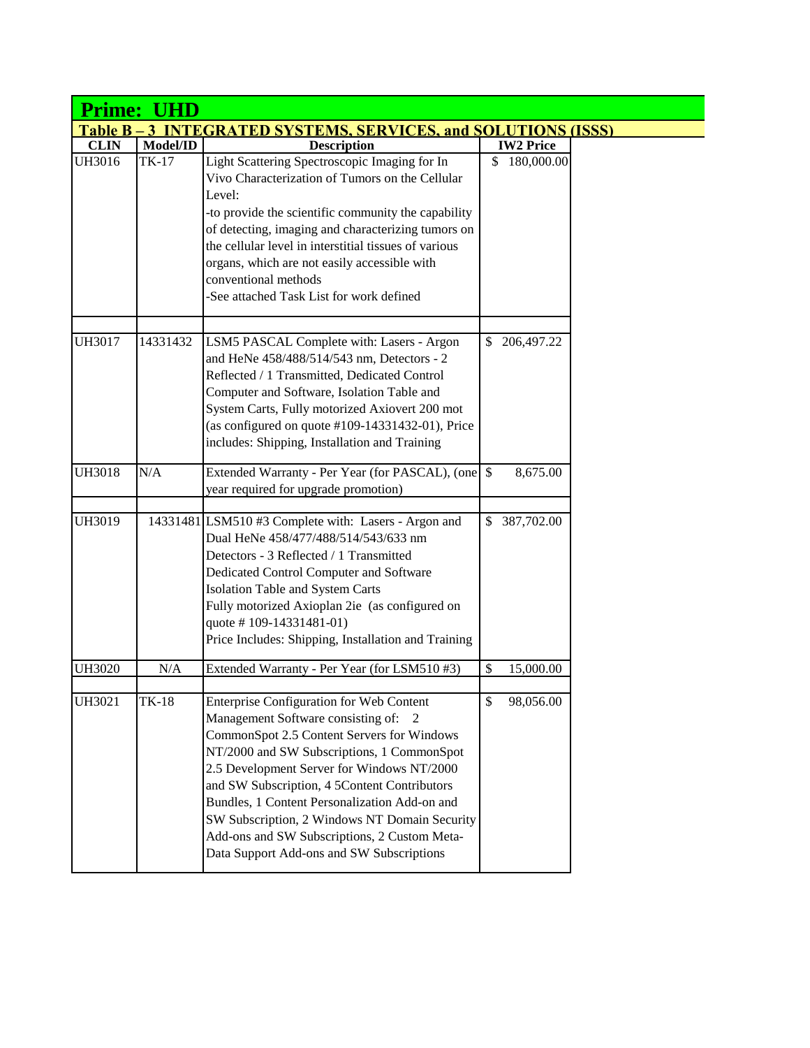| Prime: UHD       |          |                                                                                                                                                                                                                                                                                                                                                                                                                                                                           |                    |  |  |
|------------------|----------|---------------------------------------------------------------------------------------------------------------------------------------------------------------------------------------------------------------------------------------------------------------------------------------------------------------------------------------------------------------------------------------------------------------------------------------------------------------------------|--------------------|--|--|
| <b>Table B</b> - |          | <b>INTEGRATED SYSTEMS, SERVICES, and SOLUTIONS (ISSS)</b>                                                                                                                                                                                                                                                                                                                                                                                                                 |                    |  |  |
| <b>CLIN</b>      | Model/ID | <b>Description</b>                                                                                                                                                                                                                                                                                                                                                                                                                                                        | <b>IW2 Price</b>   |  |  |
| UH3016           | TK-17    | Light Scattering Spectroscopic Imaging for In<br>Vivo Characterization of Tumors on the Cellular<br>Level:<br>-to provide the scientific community the capability<br>of detecting, imaging and characterizing tumors on<br>the cellular level in interstitial tissues of various<br>organs, which are not easily accessible with<br>conventional methods<br>-See attached Task List for work defined                                                                      | 180,000.00<br>\$   |  |  |
| <b>UH3017</b>    | 14331432 | LSM5 PASCAL Complete with: Lasers - Argon<br>and HeNe 458/488/514/543 nm, Detectors - 2<br>Reflected / 1 Transmitted, Dedicated Control<br>Computer and Software, Isolation Table and<br>System Carts, Fully motorized Axiovert 200 mot<br>(as configured on quote $#109-14331432-01$ ), Price<br>includes: Shipping, Installation and Training                                                                                                                           | 206, 497. 22<br>S. |  |  |
| <b>UH3018</b>    | N/A      | year required for upgrade promotion)                                                                                                                                                                                                                                                                                                                                                                                                                                      | 8,675.00           |  |  |
| <b>UH3019</b>    |          | 14331481 LSM510 #3 Complete with: Lasers - Argon and<br>Dual HeNe 458/477/488/514/543/633 nm<br>Detectors - 3 Reflected / 1 Transmitted<br>Dedicated Control Computer and Software<br>Isolation Table and System Carts<br>Fully motorized Axioplan 2ie (as configured on<br>quote #109-14331481-01)<br>Price Includes: Shipping, Installation and Training                                                                                                                | 387,702.00<br>\$   |  |  |
| <b>UH3020</b>    | N/A      | Extended Warranty - Per Year (for LSM510 #3)                                                                                                                                                                                                                                                                                                                                                                                                                              | \$<br>15,000.00    |  |  |
| UH3021           | TK-18    | Enterprise Configuration for Web Content<br>Management Software consisting of: 2<br>CommonSpot 2.5 Content Servers for Windows<br>NT/2000 and SW Subscriptions, 1 CommonSpot<br>2.5 Development Server for Windows NT/2000<br>and SW Subscription, 4 5Content Contributors<br>Bundles, 1 Content Personalization Add-on and<br>SW Subscription, 2 Windows NT Domain Security<br>Add-ons and SW Subscriptions, 2 Custom Meta-<br>Data Support Add-ons and SW Subscriptions | \$<br>98,056.00    |  |  |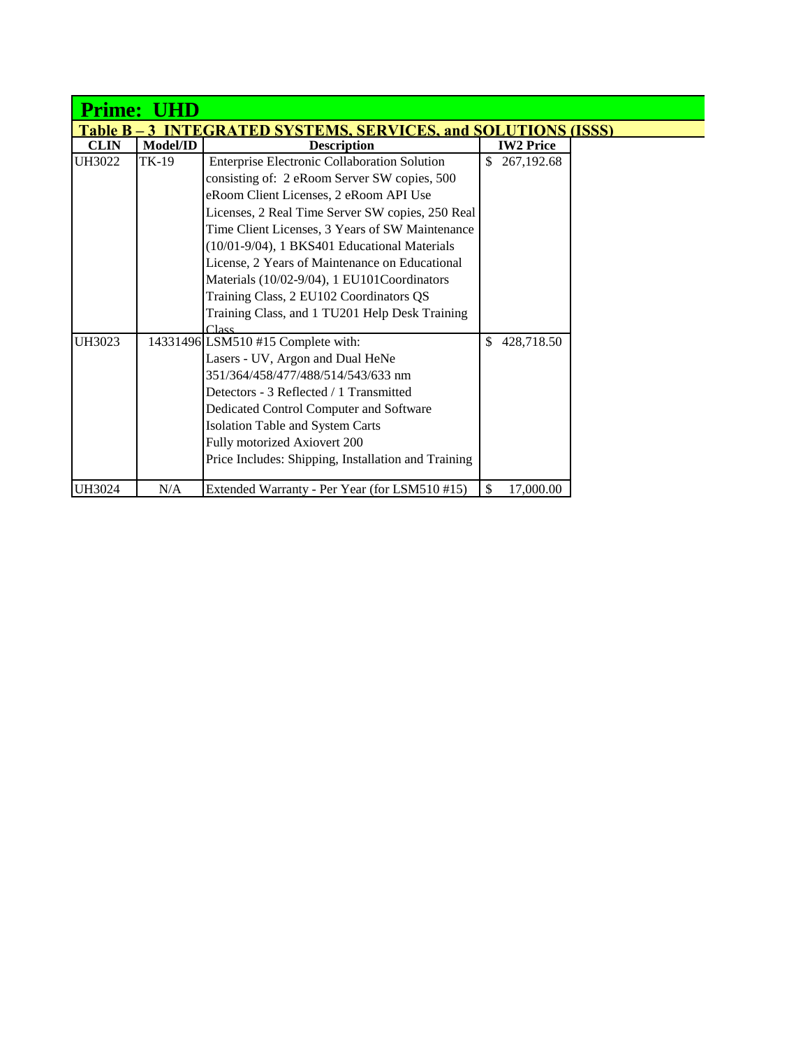| <b>Prime:</b>                                                            |          |                                                     |    |                  |  |  |
|--------------------------------------------------------------------------|----------|-----------------------------------------------------|----|------------------|--|--|
| <b>INTEGRATED SYSTEMS, SERVICES, and SOLUTIONS (ISSS)</b><br>Table B – 3 |          |                                                     |    |                  |  |  |
| <b>CLIN</b>                                                              | Model/ID | <b>Description</b>                                  |    | <b>IW2 Price</b> |  |  |
| <b>UH3022</b>                                                            | TK-19    | Enterprise Electronic Collaboration Solution        | \$ | 267,192.68       |  |  |
|                                                                          |          | consisting of: 2 eRoom Server SW copies, 500        |    |                  |  |  |
|                                                                          |          | eRoom Client Licenses, 2 eRoom API Use              |    |                  |  |  |
|                                                                          |          | Licenses, 2 Real Time Server SW copies, 250 Real    |    |                  |  |  |
|                                                                          |          | Time Client Licenses, 3 Years of SW Maintenance     |    |                  |  |  |
|                                                                          |          | (10/01-9/04), 1 BKS401 Educational Materials        |    |                  |  |  |
|                                                                          |          | License, 2 Years of Maintenance on Educational      |    |                  |  |  |
|                                                                          |          | Materials (10/02-9/04), 1 EU101Coordinators         |    |                  |  |  |
|                                                                          |          | Training Class, 2 EU102 Coordinators QS             |    |                  |  |  |
|                                                                          |          | Training Class, and 1 TU201 Help Desk Training      |    |                  |  |  |
|                                                                          |          | $C$ lacc                                            | \$ |                  |  |  |
| UH3023                                                                   |          | 14331496 LSM510 #15 Complete with:                  |    | 428,718.50       |  |  |
|                                                                          |          | Lasers - UV, Argon and Dual HeNe                    |    |                  |  |  |
|                                                                          |          | 351/364/458/477/488/514/543/633 nm                  |    |                  |  |  |
|                                                                          |          | Detectors - 3 Reflected / 1 Transmitted             |    |                  |  |  |
|                                                                          |          | Dedicated Control Computer and Software             |    |                  |  |  |
|                                                                          |          | Isolation Table and System Carts                    |    |                  |  |  |
|                                                                          |          | Fully motorized Axiovert 200                        |    |                  |  |  |
|                                                                          |          | Price Includes: Shipping, Installation and Training |    |                  |  |  |
| UH3024                                                                   | N/A      | Extended Warranty - Per Year (for LSM510#15)        | \$ | 17,000.00        |  |  |